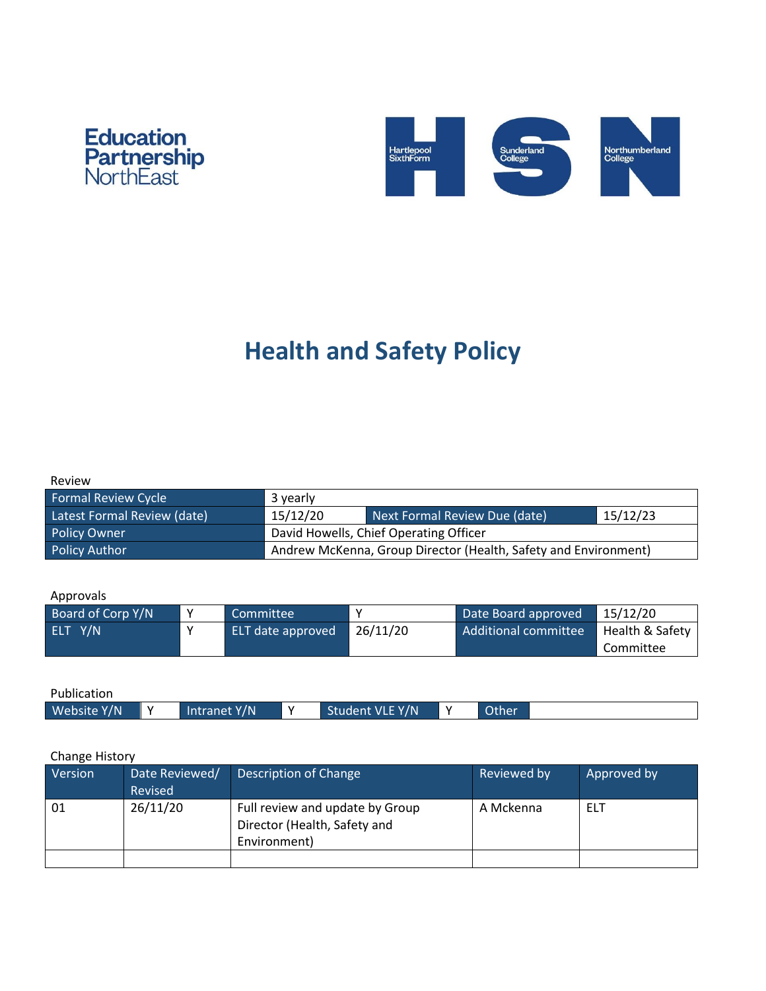



# **Health and Safety Policy**

| Review |  |  |
|--------|--|--|
|        |  |  |

| Formal Review Cycle         | 3 yearly                                                        |  |  |
|-----------------------------|-----------------------------------------------------------------|--|--|
| Latest Formal Review (date) | 15/12/23<br>15/12/20<br>Next Formal Review Due (date)           |  |  |
| <b>Policy Owner</b>         | David Howells, Chief Operating Officer                          |  |  |
| <b>Policy Author</b>        | Andrew McKenna, Group Director (Health, Safety and Environment) |  |  |

#### Approvals

| Board of Corp Y/N      |  | Committee         |          | Date Board approved  | 15/12/20        |
|------------------------|--|-------------------|----------|----------------------|-----------------|
| ELT Y/N<br>$\mathbf v$ |  | ELT date approved | 26/11/20 | Additional committee | Health & Safety |
|                        |  |                   |          |                      | Committee       |

Publication

| Website Y/N<br>Student VLE Y/N<br>Other<br>Intranet Y/N |
|---------------------------------------------------------|
|---------------------------------------------------------|

#### Change History

| Version        | Date Reviewed/<br>Revised | Description of Change                                                           | Reviewed by | Approved by |
|----------------|---------------------------|---------------------------------------------------------------------------------|-------------|-------------|
| 26/11/20<br>01 |                           | Full review and update by Group<br>Director (Health, Safety and<br>Environment) | A Mckenna   | <b>ELT</b>  |
|                |                           |                                                                                 |             |             |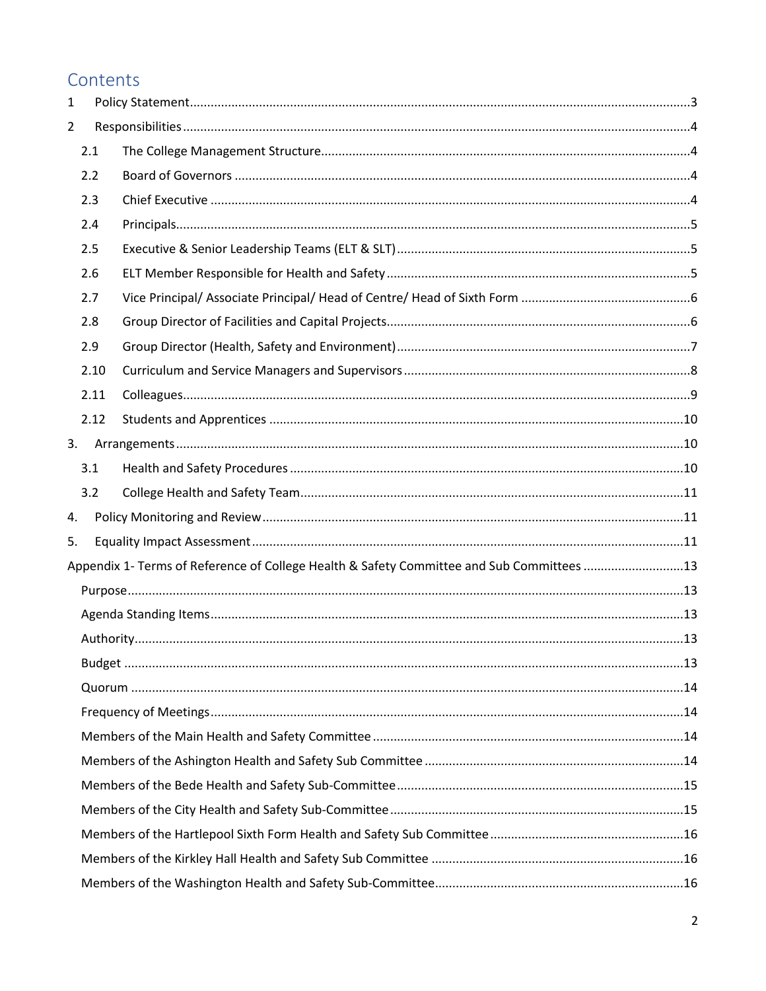# Contents

| 1              |      |                                                                                           |  |
|----------------|------|-------------------------------------------------------------------------------------------|--|
| $\overline{2}$ |      |                                                                                           |  |
|                | 2.1  |                                                                                           |  |
|                | 2.2  |                                                                                           |  |
|                | 2.3  |                                                                                           |  |
|                | 2.4  |                                                                                           |  |
|                | 2.5  |                                                                                           |  |
|                | 2.6  |                                                                                           |  |
|                | 2.7  |                                                                                           |  |
|                | 2.8  |                                                                                           |  |
|                | 2.9  |                                                                                           |  |
|                | 2.10 |                                                                                           |  |
|                | 2.11 |                                                                                           |  |
|                | 2.12 |                                                                                           |  |
| 3.             |      |                                                                                           |  |
|                | 3.1  |                                                                                           |  |
|                | 3.2  |                                                                                           |  |
| 4.             |      |                                                                                           |  |
| 5.             |      |                                                                                           |  |
|                |      | Appendix 1- Terms of Reference of College Health & Safety Committee and Sub Committees 13 |  |
|                |      |                                                                                           |  |
|                |      |                                                                                           |  |
|                |      |                                                                                           |  |
|                |      |                                                                                           |  |
|                |      |                                                                                           |  |
|                |      |                                                                                           |  |
|                |      |                                                                                           |  |
|                |      |                                                                                           |  |
|                |      |                                                                                           |  |
|                |      |                                                                                           |  |
|                |      |                                                                                           |  |
|                |      |                                                                                           |  |
|                |      |                                                                                           |  |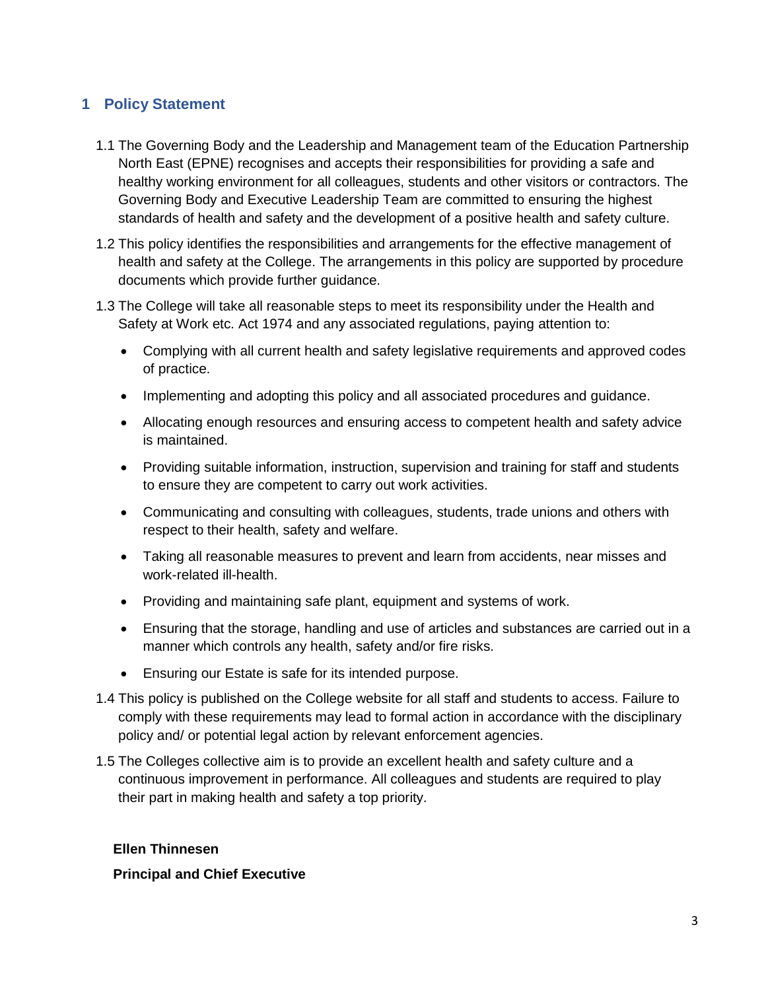# <span id="page-2-0"></span>**1 Policy Statement**

- 1.1 The Governing Body and the Leadership and Management team of the Education Partnership North East (EPNE) recognises and accepts their responsibilities for providing a safe and healthy working environment for all colleagues, students and other visitors or contractors. The Governing Body and Executive Leadership Team are committed to ensuring the highest standards of health and safety and the development of a positive health and safety culture.
- 1.2 This policy identifies the responsibilities and arrangements for the effective management of health and safety at the College. The arrangements in this policy are supported by procedure documents which provide further guidance.
- 1.3 The College will take all reasonable steps to meet its responsibility under the Health and Safety at Work etc. Act 1974 and any associated regulations, paying attention to:
	- Complying with all current health and safety legislative requirements and approved codes of practice.
	- Implementing and adopting this policy and all associated procedures and guidance.
	- Allocating enough resources and ensuring access to competent health and safety advice is maintained.
	- Providing suitable information, instruction, supervision and training for staff and students to ensure they are competent to carry out work activities.
	- Communicating and consulting with colleagues, students, trade unions and others with respect to their health, safety and welfare.
	- Taking all reasonable measures to prevent and learn from accidents, near misses and work-related ill-health.
	- Providing and maintaining safe plant, equipment and systems of work.
	- Ensuring that the storage, handling and use of articles and substances are carried out in a manner which controls any health, safety and/or fire risks.
	- Ensuring our Estate is safe for its intended purpose.
- 1.4 This policy is published on the College website for all staff and students to access. Failure to comply with these requirements may lead to formal action in accordance with the disciplinary policy and/ or potential legal action by relevant enforcement agencies.
- 1.5 The Colleges collective aim is to provide an excellent health and safety culture and a continuous improvement in performance. All colleagues and students are required to play their part in making health and safety a top priority.

#### **Ellen Thinnesen**

**Principal and Chief Executive**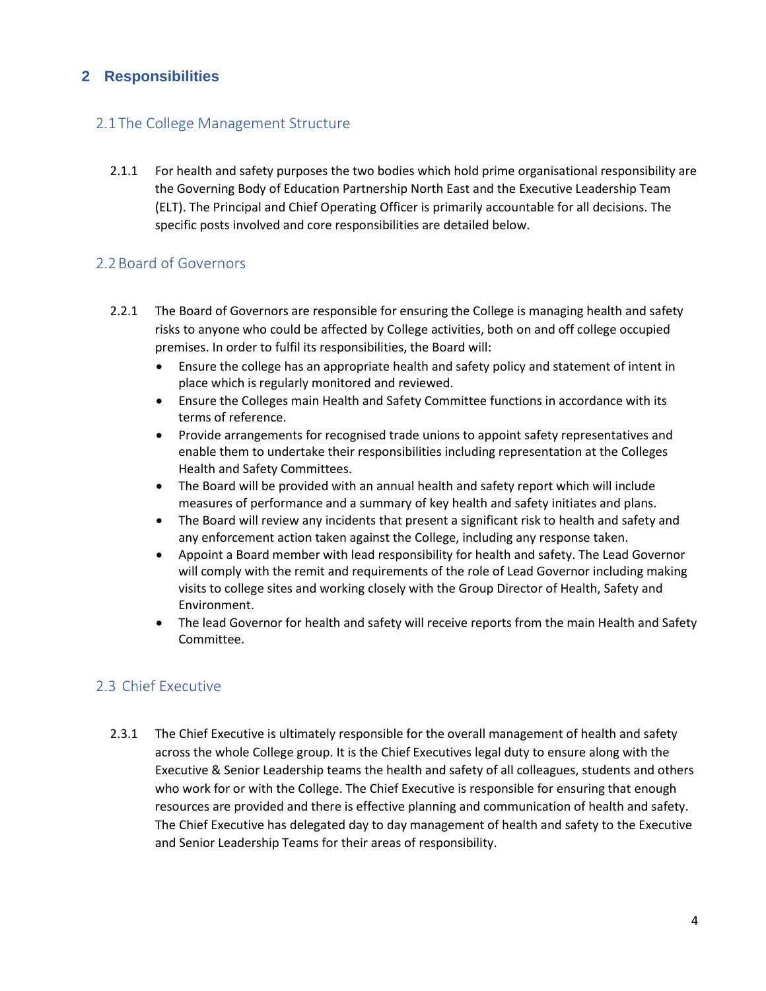# <span id="page-3-0"></span>**2 Responsibilities**

# <span id="page-3-1"></span>2.1 The College Management Structure

2.1.1 For health and safety purposes the two bodies which hold prime organisational responsibility are the Governing Body of Education Partnership North East and the Executive Leadership Team (ELT). The Principal and Chief Operating Officer is primarily accountable for all decisions. The specific posts involved and core responsibilities are detailed below.

#### <span id="page-3-2"></span>2.2Board of Governors

- 2.2.1 The Board of Governors are responsible for ensuring the College is managing health and safety risks to anyone who could be affected by College activities, both on and off college occupied premises. In order to fulfil its responsibilities, the Board will:
	- Ensure the college has an appropriate health and safety policy and statement of intent in place which is regularly monitored and reviewed.
	- Ensure the Colleges main Health and Safety Committee functions in accordance with its terms of reference.
	- Provide arrangements for recognised trade unions to appoint safety representatives and enable them to undertake their responsibilities including representation at the Colleges Health and Safety Committees.
	- The Board will be provided with an annual health and safety report which will include measures of performance and a summary of key health and safety initiates and plans.
	- The Board will review any incidents that present a significant risk to health and safety and any enforcement action taken against the College, including any response taken.
	- Appoint a Board member with lead responsibility for health and safety. The Lead Governor will comply with the remit and requirements of the role of Lead Governor including making visits to college sites and working closely with the Group Director of Health, Safety and Environment.
	- The lead Governor for health and safety will receive reports from the main Health and Safety Committee.

#### <span id="page-3-3"></span>2.3 Chief Executive

2.3.1 The Chief Executive is ultimately responsible for the overall management of health and safety across the whole College group. It is the Chief Executives legal duty to ensure along with the Executive & Senior Leadership teams the health and safety of all colleagues, students and others who work for or with the College. The Chief Executive is responsible for ensuring that enough resources are provided and there is effective planning and communication of health and safety. The Chief Executive has delegated day to day management of health and safety to the Executive and Senior Leadership Teams for their areas of responsibility.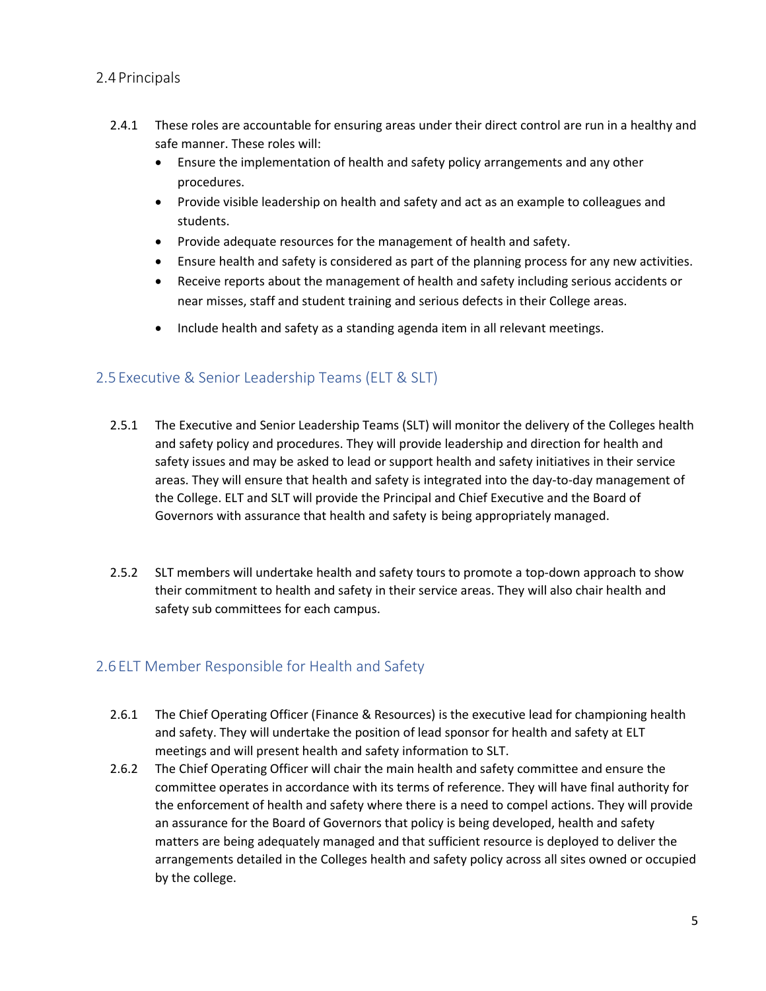#### <span id="page-4-0"></span>2.4 Principals

- 2.4.1 These roles are accountable for ensuring areas under their direct control are run in a healthy and safe manner. These roles will:
	- Ensure the implementation of health and safety policy arrangements and any other procedures.
	- Provide visible leadership on health and safety and act as an example to colleagues and students.
	- Provide adequate resources for the management of health and safety.
	- Ensure health and safety is considered as part of the planning process for any new activities.
	- Receive reports about the management of health and safety including serious accidents or near misses, staff and student training and serious defects in their College areas.
	- Include health and safety as a standing agenda item in all relevant meetings.

# <span id="page-4-1"></span>2.5 Executive & Senior Leadership Teams (ELT & SLT)

- 2.5.1 The Executive and Senior Leadership Teams (SLT) will monitor the delivery of the Colleges health and safety policy and procedures. They will provide leadership and direction for health and safety issues and may be asked to lead or support health and safety initiatives in their service areas. They will ensure that health and safety is integrated into the day-to-day management of the College. ELT and SLT will provide the Principal and Chief Executive and the Board of Governors with assurance that health and safety is being appropriately managed.
- 2.5.2 SLT members will undertake health and safety tours to promote a top-down approach to show their commitment to health and safety in their service areas. They will also chair health and safety sub committees for each campus.

# <span id="page-4-2"></span>2.6 ELT Member Responsible for Health and Safety

- 2.6.1 The Chief Operating Officer (Finance & Resources) is the executive lead for championing health and safety. They will undertake the position of lead sponsor for health and safety at ELT meetings and will present health and safety information to SLT.
- 2.6.2 The Chief Operating Officer will chair the main health and safety committee and ensure the committee operates in accordance with its terms of reference. They will have final authority for the enforcement of health and safety where there is a need to compel actions. They will provide an assurance for the Board of Governors that policy is being developed, health and safety matters are being adequately managed and that sufficient resource is deployed to deliver the arrangements detailed in the Colleges health and safety policy across all sites owned or occupied by the college.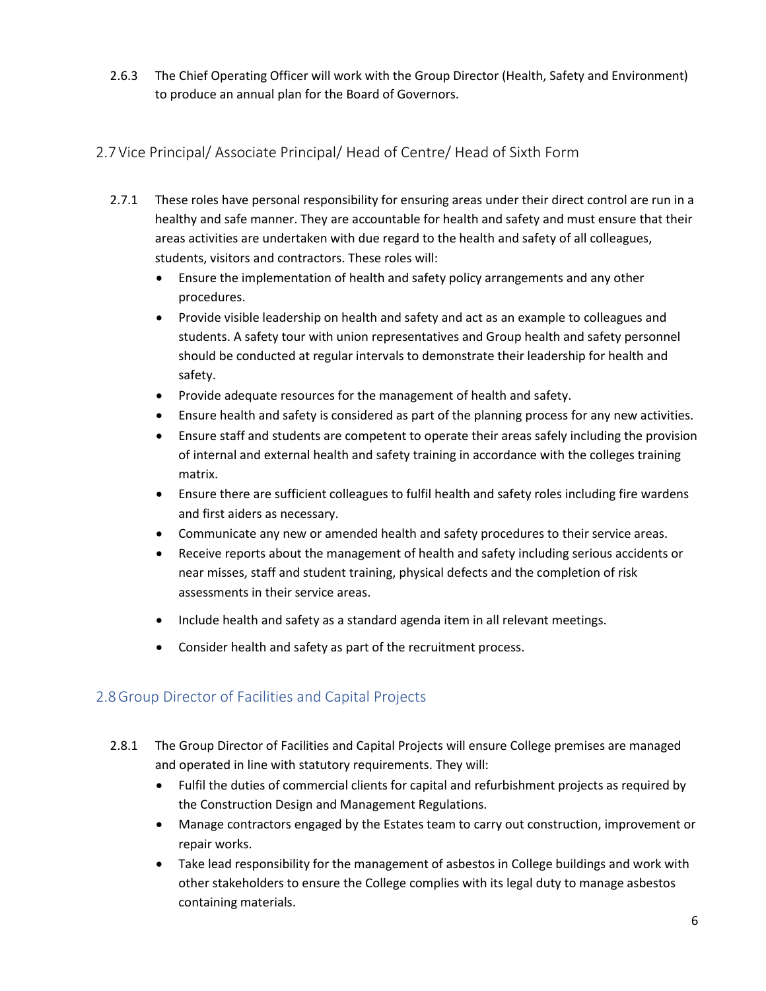2.6.3 The Chief Operating Officer will work with the Group Director (Health, Safety and Environment) to produce an annual plan for the Board of Governors.

# <span id="page-5-0"></span>2.7Vice Principal/ Associate Principal/ Head of Centre/ Head of Sixth Form

- 2.7.1 These roles have personal responsibility for ensuring areas under their direct control are run in a healthy and safe manner. They are accountable for health and safety and must ensure that their areas activities are undertaken with due regard to the health and safety of all colleagues, students, visitors and contractors. These roles will:
	- Ensure the implementation of health and safety policy arrangements and any other procedures.
	- Provide visible leadership on health and safety and act as an example to colleagues and students. A safety tour with union representatives and Group health and safety personnel should be conducted at regular intervals to demonstrate their leadership for health and safety.
	- Provide adequate resources for the management of health and safety.
	- Ensure health and safety is considered as part of the planning process for any new activities.
	- Ensure staff and students are competent to operate their areas safely including the provision of internal and external health and safety training in accordance with the colleges training matrix.
	- Ensure there are sufficient colleagues to fulfil health and safety roles including fire wardens and first aiders as necessary.
	- Communicate any new or amended health and safety procedures to their service areas.
	- Receive reports about the management of health and safety including serious accidents or near misses, staff and student training, physical defects and the completion of risk assessments in their service areas.
	- Include health and safety as a standard agenda item in all relevant meetings.
	- Consider health and safety as part of the recruitment process.

# <span id="page-5-1"></span>2.8Group Director of Facilities and Capital Projects

- 2.8.1 The Group Director of Facilities and Capital Projects will ensure College premises are managed and operated in line with statutory requirements. They will:
	- Fulfil the duties of commercial clients for capital and refurbishment projects as required by the Construction Design and Management Regulations.
	- Manage contractors engaged by the Estates team to carry out construction, improvement or repair works.
	- Take lead responsibility for the management of asbestos in College buildings and work with other stakeholders to ensure the College complies with its legal duty to manage asbestos containing materials.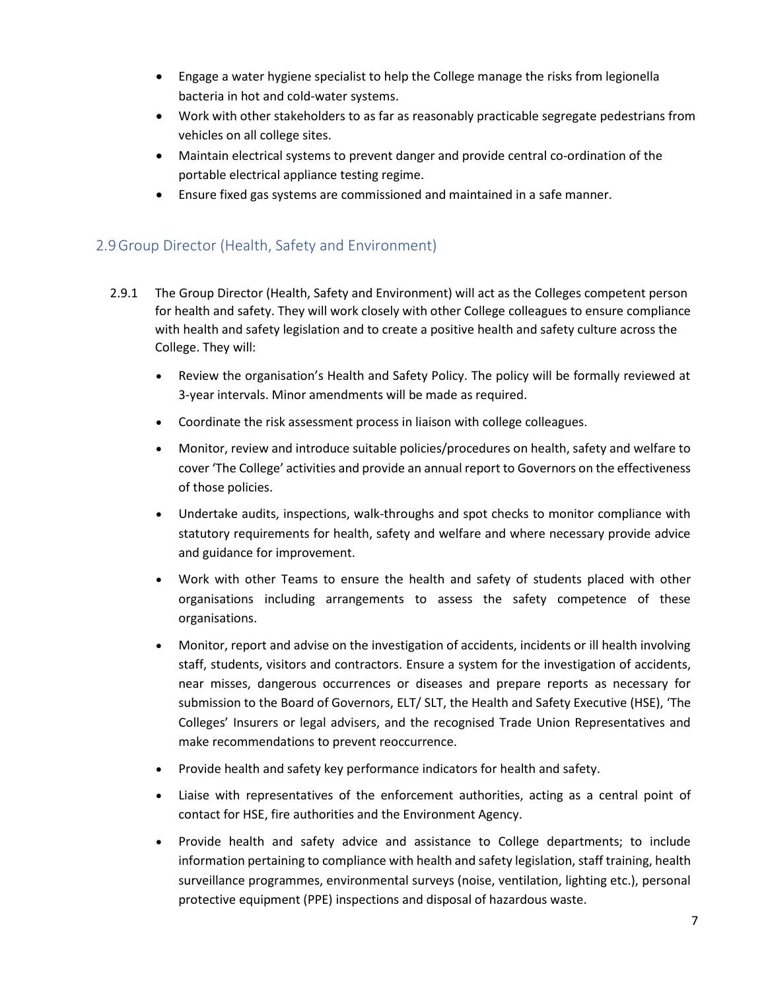- Engage a water hygiene specialist to help the College manage the risks from legionella bacteria in hot and cold-water systems.
- Work with other stakeholders to as far as reasonably practicable segregate pedestrians from vehicles on all college sites.
- Maintain electrical systems to prevent danger and provide central co-ordination of the portable electrical appliance testing regime.
- Ensure fixed gas systems are commissioned and maintained in a safe manner.

#### <span id="page-6-0"></span>2.9Group Director (Health, Safety and Environment)

- 2.9.1 The Group Director (Health, Safety and Environment) will act as the Colleges competent person for health and safety. They will work closely with other College colleagues to ensure compliance with health and safety legislation and to create a positive health and safety culture across the College. They will:
	- Review the organisation's Health and Safety Policy. The policy will be formally reviewed at 3-year intervals. Minor amendments will be made as required.
	- Coordinate the risk assessment process in liaison with college colleagues.
	- Monitor, review and introduce suitable policies/procedures on health, safety and welfare to cover 'The College' activities and provide an annual report to Governors on the effectiveness of those policies.
	- Undertake audits, inspections, walk-throughs and spot checks to monitor compliance with statutory requirements for health, safety and welfare and where necessary provide advice and guidance for improvement.
	- Work with other Teams to ensure the health and safety of students placed with other organisations including arrangements to assess the safety competence of these organisations.
	- Monitor, report and advise on the investigation of accidents, incidents or ill health involving staff, students, visitors and contractors. Ensure a system for the investigation of accidents, near misses, dangerous occurrences or diseases and prepare reports as necessary for submission to the Board of Governors, ELT/ SLT, the Health and Safety Executive (HSE), 'The Colleges' Insurers or legal advisers, and the recognised Trade Union Representatives and make recommendations to prevent reoccurrence.
	- Provide health and safety key performance indicators for health and safety.
	- Liaise with representatives of the enforcement authorities, acting as a central point of contact for HSE, fire authorities and the Environment Agency.
	- Provide health and safety advice and assistance to College departments; to include information pertaining to compliance with health and safety legislation, staff training, health surveillance programmes, environmental surveys (noise, ventilation, lighting etc.), personal protective equipment (PPE) inspections and disposal of hazardous waste.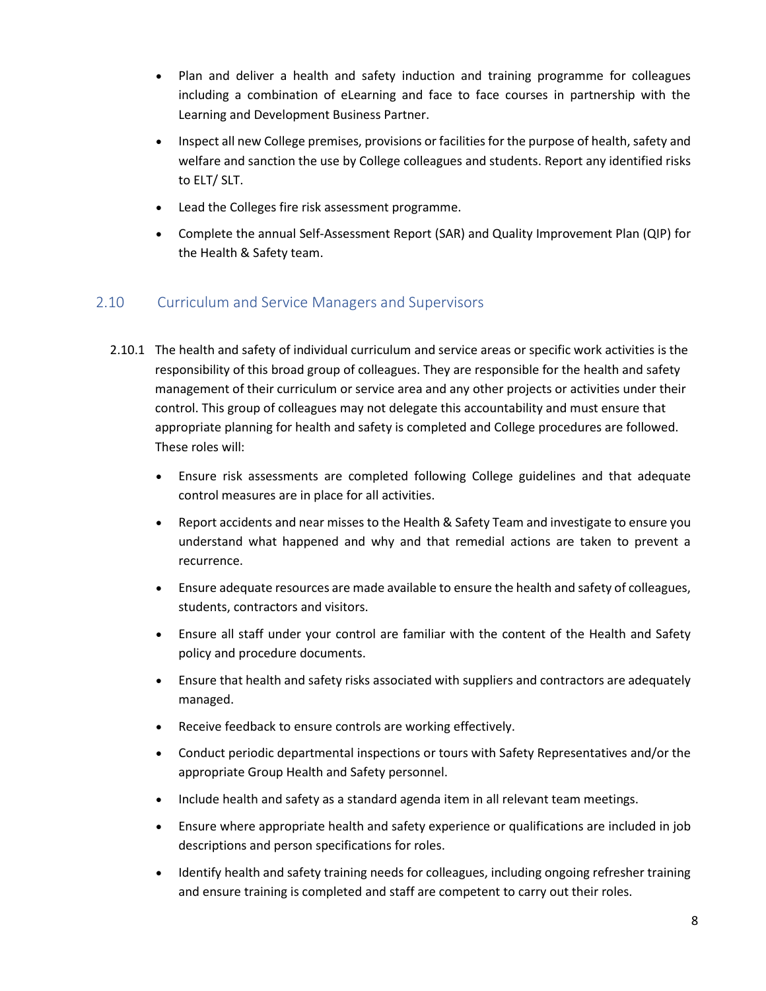- Plan and deliver a health and safety induction and training programme for colleagues including a combination of eLearning and face to face courses in partnership with the Learning and Development Business Partner.
- Inspect all new College premises, provisions or facilities for the purpose of health, safety and welfare and sanction the use by College colleagues and students. Report any identified risks to ELT/ SLT.
- Lead the Colleges fire risk assessment programme.
- Complete the annual Self-Assessment Report (SAR) and Quality Improvement Plan (QIP) for the Health & Safety team.

# <span id="page-7-0"></span>2.10 Curriculum and Service Managers and Supervisors

- 2.10.1 The health and safety of individual curriculum and service areas or specific work activities is the responsibility of this broad group of colleagues. They are responsible for the health and safety management of their curriculum or service area and any other projects or activities under their control. This group of colleagues may not delegate this accountability and must ensure that appropriate planning for health and safety is completed and College procedures are followed. These roles will:
	- Ensure risk assessments are completed following College guidelines and that adequate control measures are in place for all activities.
	- Report accidents and near misses to the Health & Safety Team and investigate to ensure you understand what happened and why and that remedial actions are taken to prevent a recurrence.
	- Ensure adequate resources are made available to ensure the health and safety of colleagues, students, contractors and visitors.
	- Ensure all staff under your control are familiar with the content of the Health and Safety policy and procedure documents.
	- Ensure that health and safety risks associated with suppliers and contractors are adequately managed.
	- Receive feedback to ensure controls are working effectively.
	- Conduct periodic departmental inspections or tours with Safety Representatives and/or the appropriate Group Health and Safety personnel.
	- Include health and safety as a standard agenda item in all relevant team meetings.
	- Ensure where appropriate health and safety experience or qualifications are included in job descriptions and person specifications for roles.
	- Identify health and safety training needs for colleagues, including ongoing refresher training and ensure training is completed and staff are competent to carry out their roles.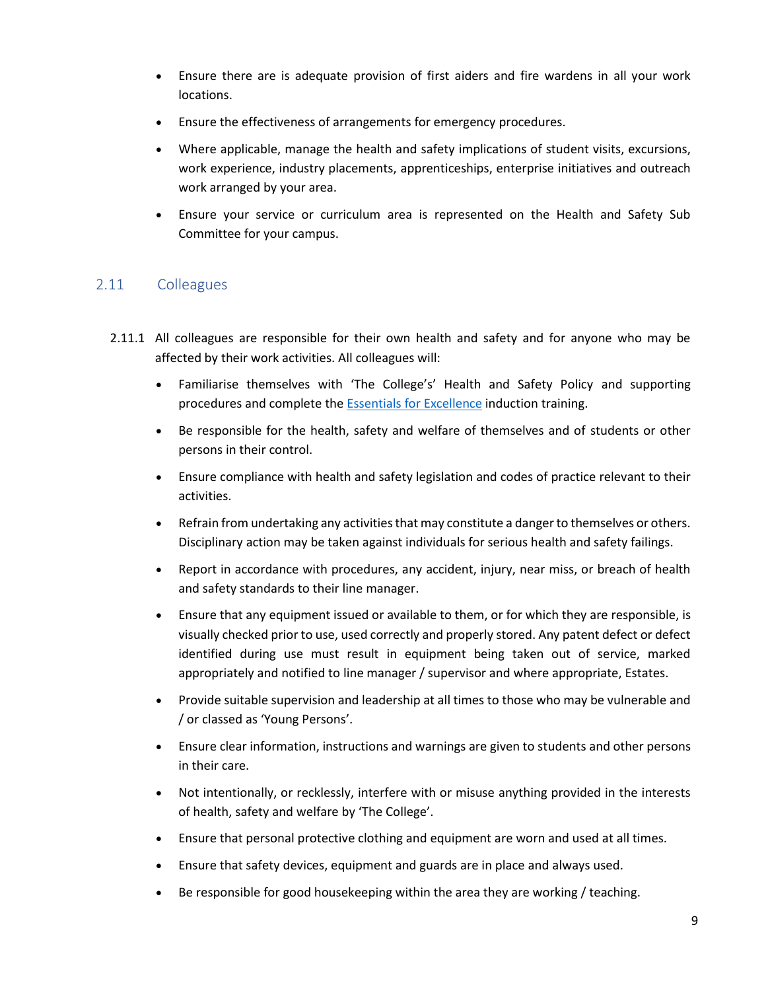- Ensure there are is adequate provision of first aiders and fire wardens in all your work locations.
- Ensure the effectiveness of arrangements for emergency procedures.
- Where applicable, manage the health and safety implications of student visits, excursions, work experience, industry placements, apprenticeships, enterprise initiatives and outreach work arranged by your area.
- Ensure your service or curriculum area is represented on the Health and Safety Sub Committee for your campus.

# <span id="page-8-0"></span>2.11 Colleagues

- 2.11.1 All colleagues are responsible for their own health and safety and for anyone who may be affected by their work activities. All colleagues will:
	- Familiarise themselves with 'The College's' Health and Safety Policy and supporting procedures and complete the **Essentials [for Excellence](https://mysunderlandcollegeac.sharepoint.com/sites/EssentialsforExcellence)** induction training.
	- Be responsible for the health, safety and welfare of themselves and of students or other persons in their control.
	- Ensure compliance with health and safety legislation and codes of practice relevant to their activities.
	- Refrain from undertaking any activities that may constitute a danger to themselves or others. Disciplinary action may be taken against individuals for serious health and safety failings.
	- Report in accordance with procedures, any accident, injury, near miss, or breach of health and safety standards to their line manager.
	- Ensure that any equipment issued or available to them, or for which they are responsible, is visually checked prior to use, used correctly and properly stored. Any patent defect or defect identified during use must result in equipment being taken out of service, marked appropriately and notified to line manager / supervisor and where appropriate, Estates.
	- Provide suitable supervision and leadership at all times to those who may be vulnerable and / or classed as 'Young Persons'.
	- Ensure clear information, instructions and warnings are given to students and other persons in their care.
	- Not intentionally, or recklessly, interfere with or misuse anything provided in the interests of health, safety and welfare by 'The College'.
	- Ensure that personal protective clothing and equipment are worn and used at all times.
	- Ensure that safety devices, equipment and guards are in place and always used.
	- Be responsible for good housekeeping within the area they are working / teaching.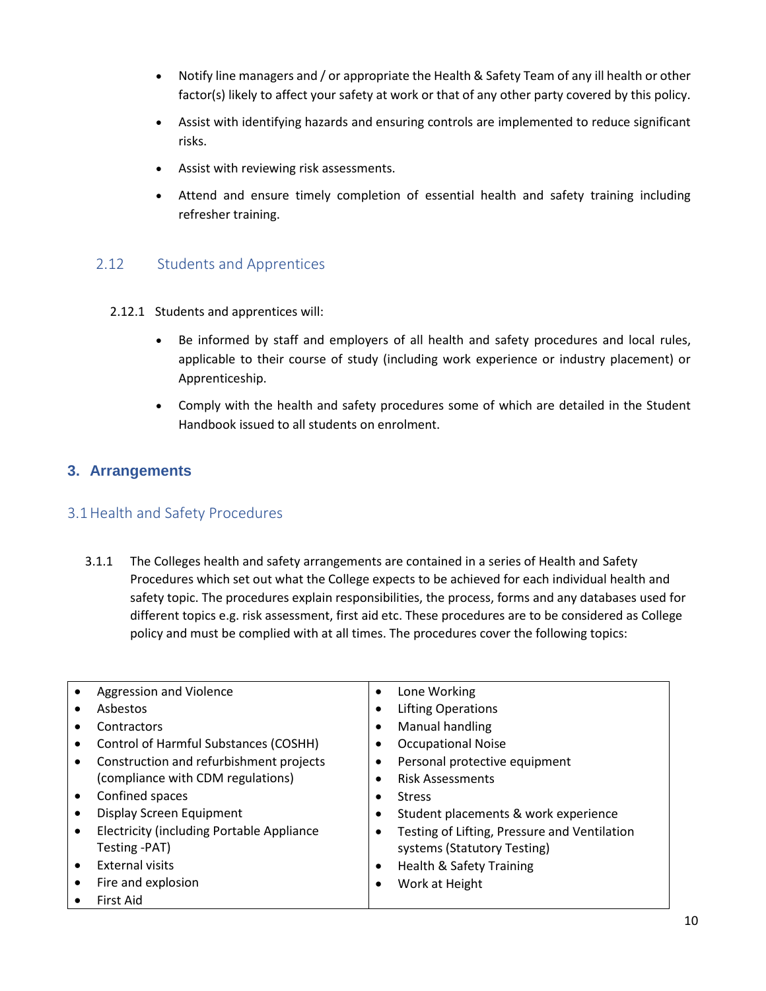- Notify line managers and / or appropriate the Health & Safety Team of any ill health or other factor(s) likely to affect your safety at work or that of any other party covered by this policy.
- Assist with identifying hazards and ensuring controls are implemented to reduce significant risks.
- Assist with reviewing risk assessments.
- Attend and ensure timely completion of essential health and safety training including refresher training.

#### <span id="page-9-0"></span>2.12 Students and Apprentices

- 2.12.1 Students and apprentices will:
	- Be informed by staff and employers of all health and safety procedures and local rules, applicable to their course of study (including work experience or industry placement) or Apprenticeship.
	- Comply with the health and safety procedures some of which are detailed in the Student Handbook issued to all students on enrolment.

#### <span id="page-9-1"></span>**3. Arrangements**

#### <span id="page-9-2"></span>3.1Health and Safety Procedures

3.1.1 The Colleges health and safety arrangements are contained in a series of Health and Safety Procedures which set out what the College expects to be achieved for each individual health and safety topic. The procedures explain responsibilities, the process, forms and any databases used for different topics e.g. risk assessment, first aid etc. These procedures are to be considered as College policy and must be complied with at all times. The procedures cover the following topics:

| Aggression and Violence                           | Lone Working<br>$\bullet$                                 |
|---------------------------------------------------|-----------------------------------------------------------|
| Asbestos                                          | <b>Lifting Operations</b><br>$\bullet$                    |
| Contractors                                       | Manual handling<br>$\bullet$                              |
| Control of Harmful Substances (COSHH)             | <b>Occupational Noise</b>                                 |
| Construction and refurbishment projects           | Personal protective equipment                             |
| (compliance with CDM regulations)                 | <b>Risk Assessments</b>                                   |
| Confined spaces<br>$\bullet$                      | <b>Stress</b>                                             |
| Display Screen Equipment                          | Student placements & work experience<br>$\bullet$         |
| <b>Electricity (including Portable Appliance)</b> | Testing of Lifting, Pressure and Ventilation<br>$\bullet$ |
| Testing -PAT)                                     | systems (Statutory Testing)                               |
| <b>External visits</b>                            | <b>Health &amp; Safety Training</b><br>$\bullet$          |
| Fire and explosion                                | Work at Height                                            |
| First Aid                                         |                                                           |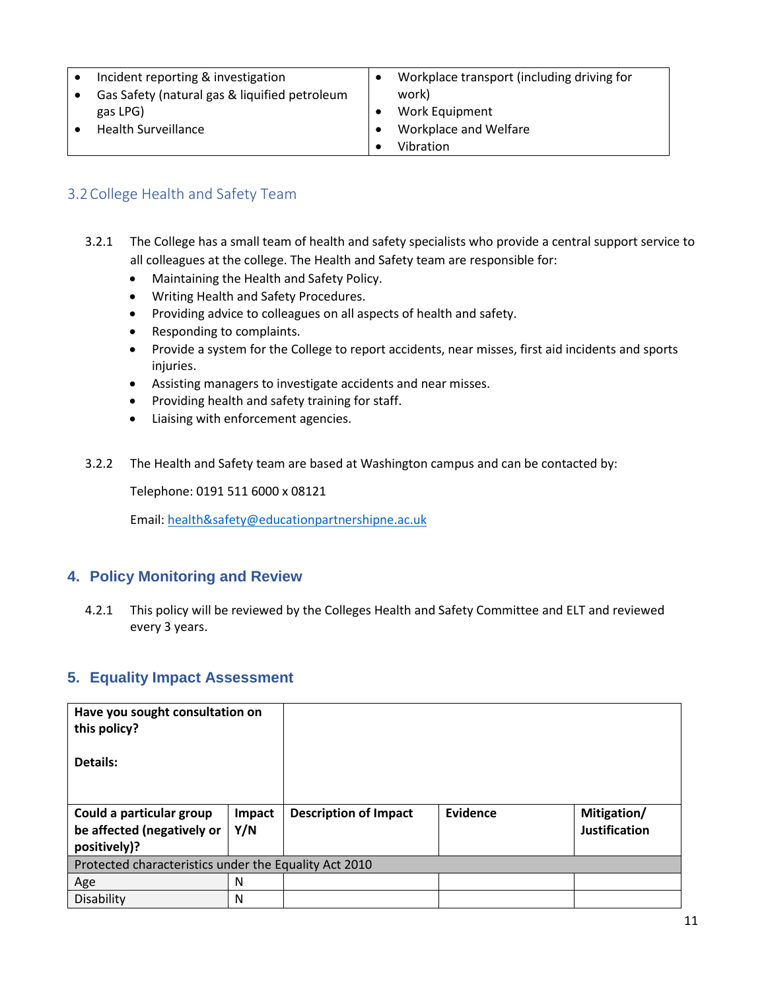| Incident reporting & investigation            | Workplace transport (including driving for |
|-----------------------------------------------|--------------------------------------------|
| Gas Safety (natural gas & liquified petroleum | work)                                      |
| gas LPG)                                      | Work Equipment                             |
| <b>Health Surveillance</b>                    | Workplace and Welfare                      |
|                                               | Vibration                                  |

#### <span id="page-10-0"></span>3.2College Health and Safety Team

- 3.2.1 The College has a small team of health and safety specialists who provide a central support service to all colleagues at the college. The Health and Safety team are responsible for:
	- Maintaining the Health and Safety Policy.
	- Writing Health and Safety Procedures.
	- Providing advice to colleagues on all aspects of health and safety.
	- Responding to complaints.
	- Provide a system for the College to report accidents, near misses, first aid incidents and sports injuries.
	- Assisting managers to investigate accidents and near misses.
	- Providing health and safety training for staff.
	- Liaising with enforcement agencies.
- 3.2.2 The Health and Safety team are based at Washington campus and can be contacted by:

Telephone: 0191 511 6000 x 08121

Email: [health&safety@educationpartnershipne.ac.uk](mailto:health&safety@educationpartnershipne.ac.uk)

#### <span id="page-10-1"></span>**4. Policy Monitoring and Review**

4.2.1 This policy will be reviewed by the Colleges Health and Safety Committee and ELT and reviewed every 3 years.

#### <span id="page-10-2"></span>**5. Equality Impact Assessment**

| Have you sought consultation on<br>this policy?       |        |                              |          |                      |  |
|-------------------------------------------------------|--------|------------------------------|----------|----------------------|--|
| Details:                                              |        |                              |          |                      |  |
| Could a particular group                              | Impact | <b>Description of Impact</b> | Evidence | Mitigation/          |  |
| be affected (negatively or                            | Y/N    |                              |          | <b>Justification</b> |  |
| positively)?                                          |        |                              |          |                      |  |
| Protected characteristics under the Equality Act 2010 |        |                              |          |                      |  |
| Age                                                   | N      |                              |          |                      |  |
| Disability                                            | N      |                              |          |                      |  |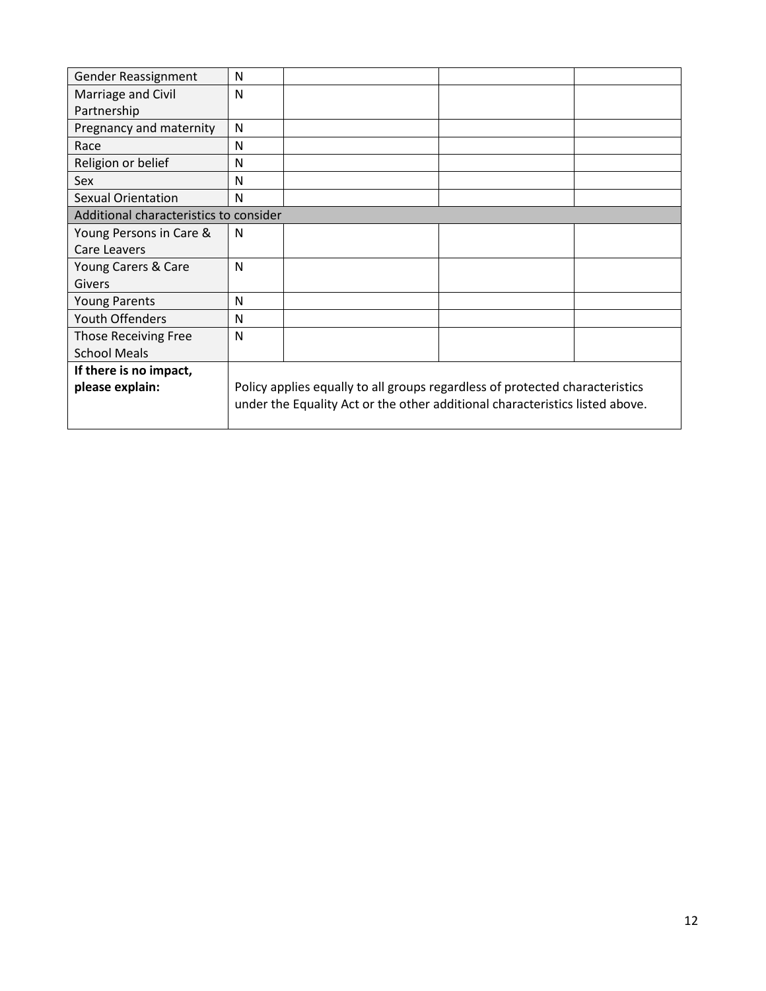| Gender Reassignment                    | N |                                                                              |  |
|----------------------------------------|---|------------------------------------------------------------------------------|--|
| Marriage and Civil                     | N |                                                                              |  |
| Partnership                            |   |                                                                              |  |
| Pregnancy and maternity                | N |                                                                              |  |
| Race                                   | N |                                                                              |  |
| Religion or belief                     | N |                                                                              |  |
| Sex                                    | N |                                                                              |  |
| <b>Sexual Orientation</b>              | N |                                                                              |  |
| Additional characteristics to consider |   |                                                                              |  |
| Young Persons in Care &                | N |                                                                              |  |
| Care Leavers                           |   |                                                                              |  |
| Young Carers & Care                    | N |                                                                              |  |
| Givers                                 |   |                                                                              |  |
| <b>Young Parents</b>                   | N |                                                                              |  |
| <b>Youth Offenders</b>                 | N |                                                                              |  |
| <b>Those Receiving Free</b>            | N |                                                                              |  |
| <b>School Meals</b>                    |   |                                                                              |  |
| If there is no impact,                 |   |                                                                              |  |
| please explain:                        |   | Policy applies equally to all groups regardless of protected characteristics |  |
|                                        |   | under the Equality Act or the other additional characteristics listed above. |  |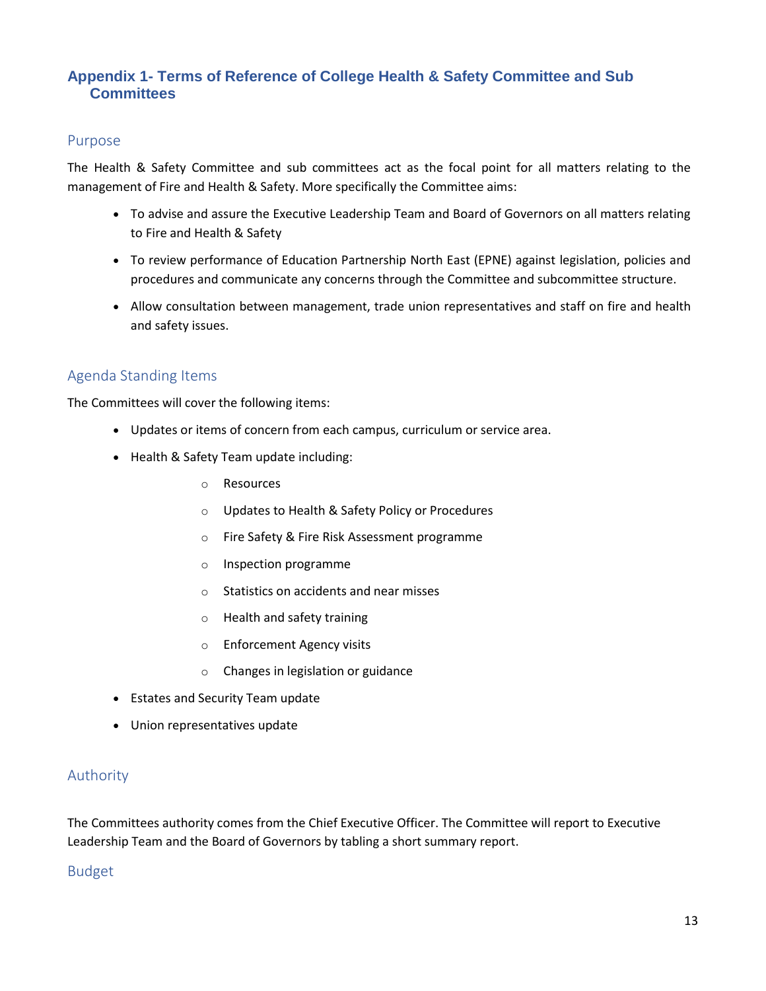# <span id="page-12-0"></span>**Appendix 1- Terms of Reference of College Health & Safety Committee and Sub Committees**

#### <span id="page-12-1"></span>Purpose

The Health & Safety Committee and sub committees act as the focal point for all matters relating to the management of Fire and Health & Safety. More specifically the Committee aims:

- To advise and assure the Executive Leadership Team and Board of Governors on all matters relating to Fire and Health & Safety
- To review performance of Education Partnership North East (EPNE) against legislation, policies and procedures and communicate any concerns through the Committee and subcommittee structure.
- Allow consultation between management, trade union representatives and staff on fire and health and safety issues.

#### <span id="page-12-2"></span>Agenda Standing Items

The Committees will cover the following items:

- Updates or items of concern from each campus, curriculum or service area.
- Health & Safety Team update including:
	- o Resources
	- o Updates to Health & Safety Policy or Procedures
	- o Fire Safety & Fire Risk Assessment programme
	- o Inspection programme
	- o Statistics on accidents and near misses
	- o Health and safety training
	- o Enforcement Agency visits
	- o Changes in legislation or guidance
- Estates and Security Team update
- Union representatives update

#### <span id="page-12-3"></span>Authority

The Committees authority comes from the Chief Executive Officer. The Committee will report to Executive Leadership Team and the Board of Governors by tabling a short summary report.

#### <span id="page-12-4"></span>Budget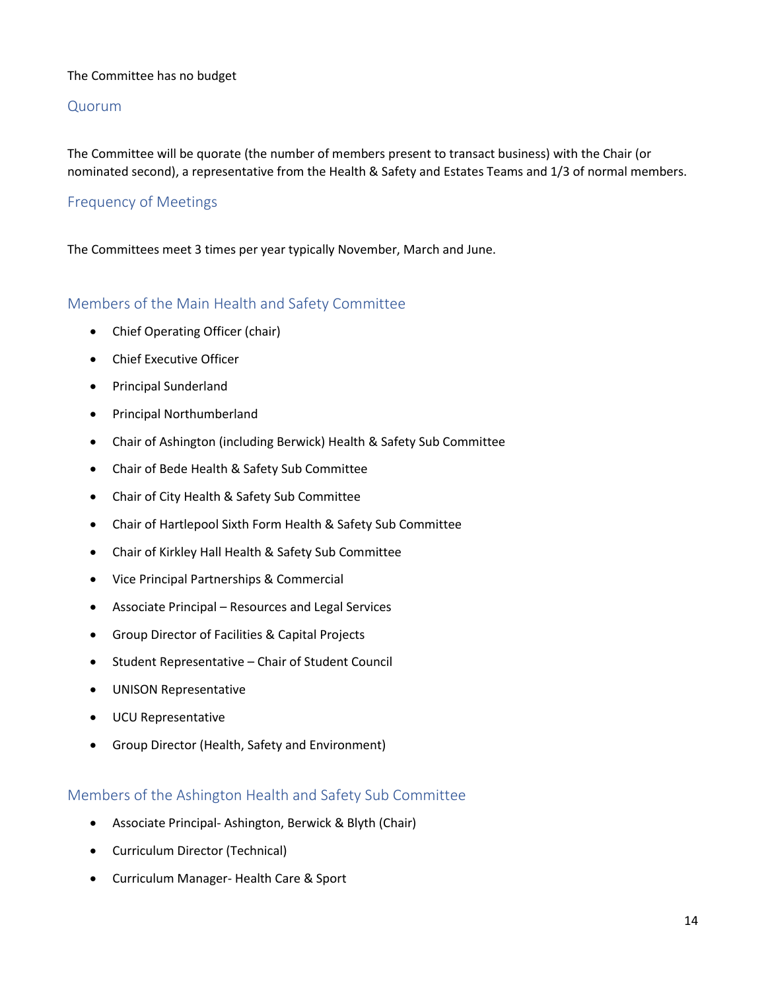#### The Committee has no budget

#### <span id="page-13-0"></span>Quorum

The Committee will be quorate (the number of members present to transact business) with the Chair (or nominated second), a representative from the Health & Safety and Estates Teams and 1/3 of normal members.

#### <span id="page-13-1"></span>Frequency of Meetings

The Committees meet 3 times per year typically November, March and June.

#### <span id="page-13-2"></span>Members of the Main Health and Safety Committee

- Chief Operating Officer (chair)
- Chief Executive Officer
- Principal Sunderland
- Principal Northumberland
- Chair of Ashington (including Berwick) Health & Safety Sub Committee
- Chair of Bede Health & Safety Sub Committee
- Chair of City Health & Safety Sub Committee
- Chair of Hartlepool Sixth Form Health & Safety Sub Committee
- Chair of Kirkley Hall Health & Safety Sub Committee
- Vice Principal Partnerships & Commercial
- Associate Principal Resources and Legal Services
- Group Director of Facilities & Capital Projects
- Student Representative Chair of Student Council
- UNISON Representative
- UCU Representative
- Group Director (Health, Safety and Environment)

#### <span id="page-13-3"></span>Members of the Ashington Health and Safety Sub Committee

- Associate Principal- Ashington, Berwick & Blyth (Chair)
- Curriculum Director (Technical)
- Curriculum Manager- Health Care & Sport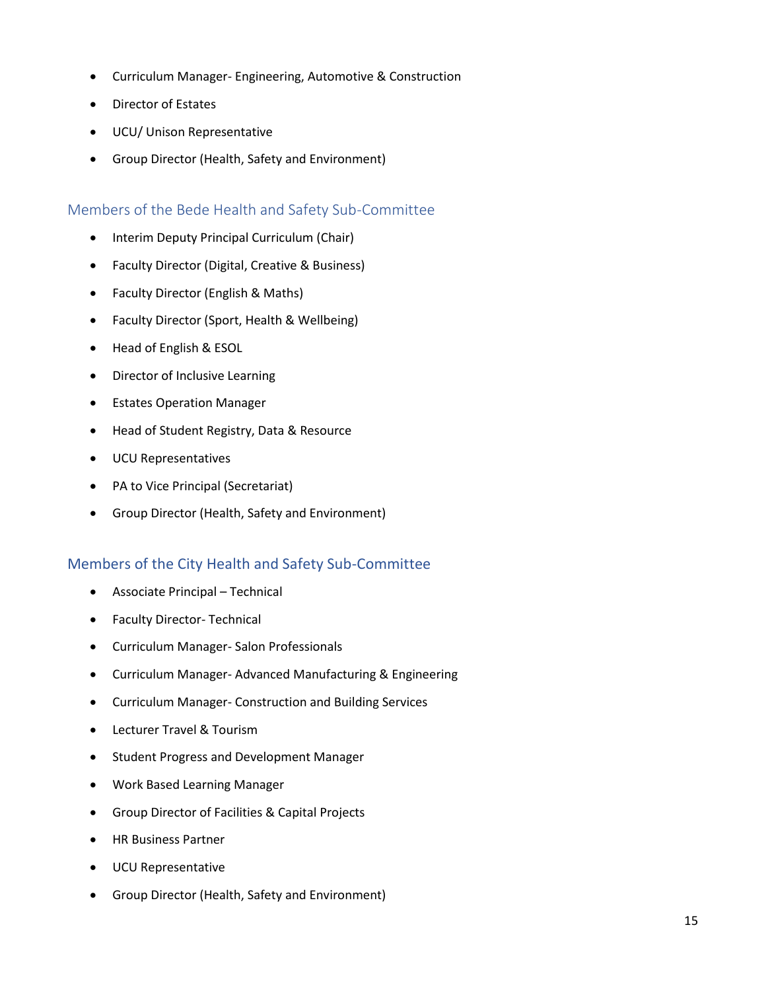- Curriculum Manager- Engineering, Automotive & Construction
- Director of Estates
- UCU/ Unison Representative
- Group Director (Health, Safety and Environment)

#### <span id="page-14-0"></span>Members of the Bede Health and Safety Sub-Committee

- Interim Deputy Principal Curriculum (Chair)
- Faculty Director (Digital, Creative & Business)
- Faculty Director (English & Maths)
- Faculty Director (Sport, Health & Wellbeing)
- Head of English & ESOL
- Director of Inclusive Learning
- Estates Operation Manager
- Head of Student Registry, Data & Resource
- UCU Representatives
- PA to Vice Principal (Secretariat)
- Group Director (Health, Safety and Environment)

#### <span id="page-14-1"></span>Members of the City Health and Safety Sub-Committee

- Associate Principal Technical
- Faculty Director- Technical
- Curriculum Manager- Salon Professionals
- Curriculum Manager- Advanced Manufacturing & Engineering
- Curriculum Manager- Construction and Building Services
- Lecturer Travel & Tourism
- Student Progress and Development Manager
- Work Based Learning Manager
- Group Director of Facilities & Capital Projects
- HR Business Partner
- UCU Representative
- Group Director (Health, Safety and Environment)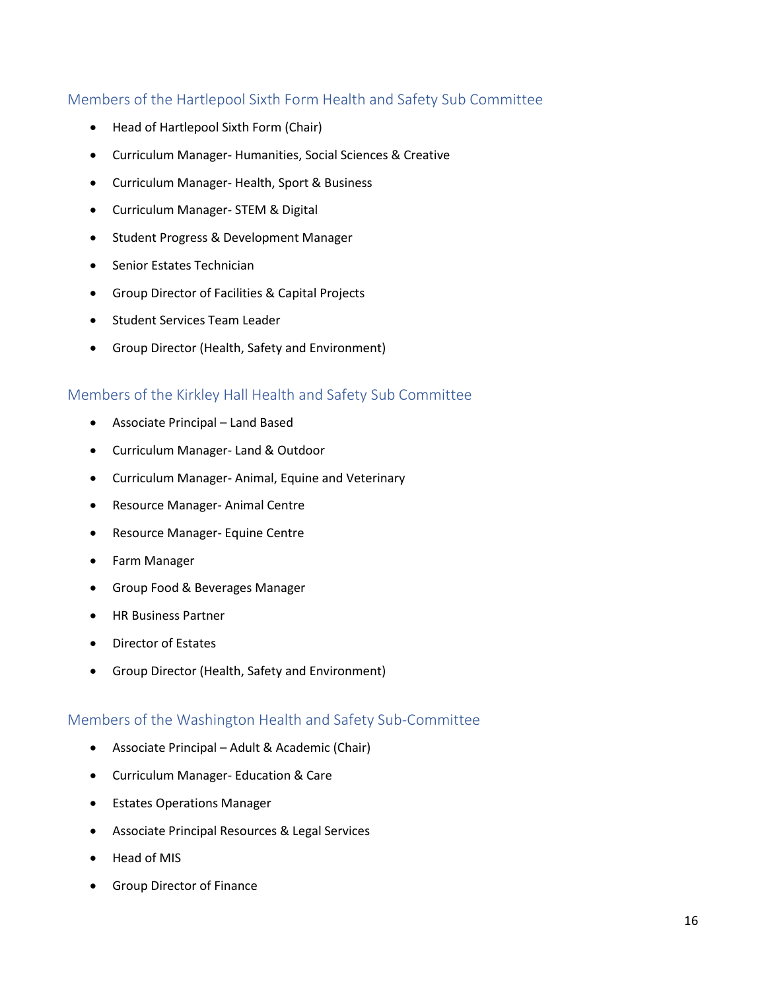# <span id="page-15-0"></span>Members of the Hartlepool Sixth Form Health and Safety Sub Committee

- Head of Hartlepool Sixth Form (Chair)
- Curriculum Manager- Humanities, Social Sciences & Creative
- Curriculum Manager- Health, Sport & Business
- Curriculum Manager- STEM & Digital
- Student Progress & Development Manager
- Senior Estates Technician
- Group Director of Facilities & Capital Projects
- Student Services Team Leader
- Group Director (Health, Safety and Environment)

#### <span id="page-15-1"></span>Members of the Kirkley Hall Health and Safety Sub Committee

- Associate Principal Land Based
- Curriculum Manager- Land & Outdoor
- Curriculum Manager- Animal, Equine and Veterinary
- Resource Manager- Animal Centre
- Resource Manager- Equine Centre
- Farm Manager
- Group Food & Beverages Manager
- HR Business Partner
- Director of Estates
- Group Director (Health, Safety and Environment)

#### <span id="page-15-2"></span>Members of the Washington Health and Safety Sub-Committee

- Associate Principal Adult & Academic (Chair)
- Curriculum Manager- Education & Care
- Estates Operations Manager
- Associate Principal Resources & Legal Services
- Head of MIS
- Group Director of Finance